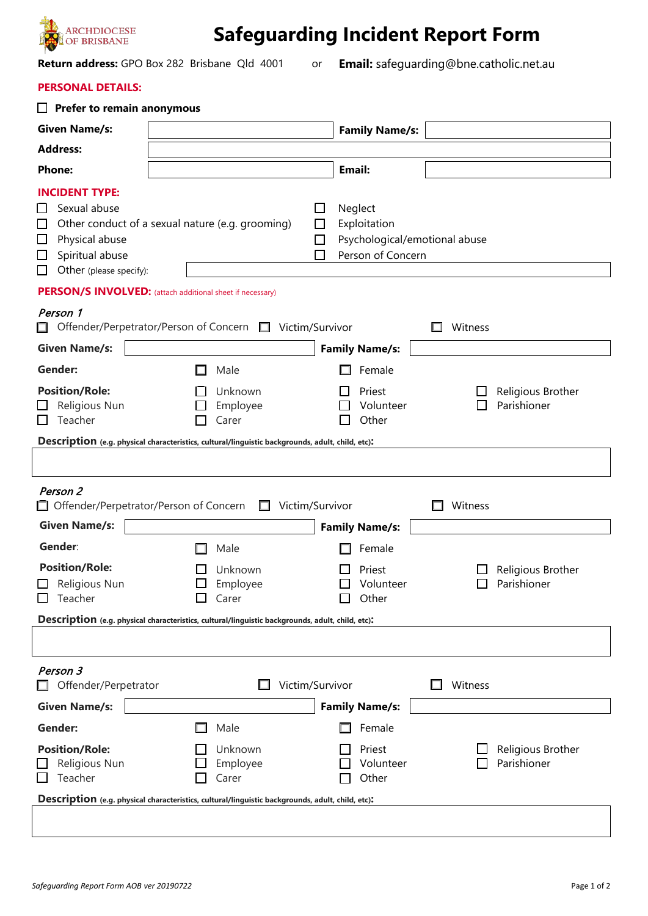

**Safeguarding Incident Report Form** 

**Return address:** GPO Box 282 Brisbane Qld 4001 or

**Email:** safeguarding@bne.catholic.net.au

## **PERSONAL DETAILS:**

| <b>Prefer to remain anonymous</b>                                                                                                                                                           |                                                                                                                                          |                                                                                         |         |                                  |
|---------------------------------------------------------------------------------------------------------------------------------------------------------------------------------------------|------------------------------------------------------------------------------------------------------------------------------------------|-----------------------------------------------------------------------------------------|---------|----------------------------------|
| <b>Given Name/s:</b>                                                                                                                                                                        |                                                                                                                                          | <b>Family Name/s:</b>                                                                   |         |                                  |
| <b>Address:</b>                                                                                                                                                                             |                                                                                                                                          |                                                                                         |         |                                  |
| <b>Phone:</b>                                                                                                                                                                               |                                                                                                                                          | Email:                                                                                  |         |                                  |
| <b>INCIDENT TYPE:</b><br>Sexual abuse<br>ப<br>$\Box$<br>Physical abuse<br>$\Box$<br>Spiritual abuse<br>$\Box$<br>Other (please specify):<br>□                                               | ப<br>Other conduct of a sexual nature (e.g. grooming)<br>$\Box$                                                                          | Neglect<br>Exploitation<br>$\Box$<br>Psychological/emotional abuse<br>Person of Concern |         |                                  |
| PERSON/S INVOLVED: (attach additional sheet if necessary)                                                                                                                                   |                                                                                                                                          |                                                                                         |         |                                  |
| Person 1                                                                                                                                                                                    | Offender/Perpetrator/Person of Concern □ Victim/Survivor                                                                                 |                                                                                         | Witness |                                  |
| <b>Given Name/s:</b>                                                                                                                                                                        |                                                                                                                                          | <b>Family Name/s:</b>                                                                   |         |                                  |
| <b>Gender:</b><br><b>Position/Role:</b><br>Religious Nun<br>Teacher                                                                                                                         | Male<br>Unknown<br>Employee<br>Carer                                                                                                     | Female<br>Priest<br>Volunteer<br>Other                                                  |         | Religious Brother<br>Parishioner |
| Description (e.g. physical characteristics, cultural/linguistic backgrounds, adult, child, etc):<br>Person 2<br>□ Offender/Perpetrator/Person of Concern<br>Victim/Survivor<br>Witness<br>П |                                                                                                                                          |                                                                                         |         |                                  |
| <b>Given Name/s:</b>                                                                                                                                                                        |                                                                                                                                          | <b>Family Name/s:</b>                                                                   |         |                                  |
| Gender:                                                                                                                                                                                     | Male                                                                                                                                     | Female                                                                                  |         |                                  |
| <b>Position/Role:</b><br>Religious Nun<br>Teacher                                                                                                                                           | Unknown<br>Employee<br>Carer                                                                                                             | Priest<br>Volunteer<br>Other                                                            |         | Religious Brother<br>Parishioner |
| Description (e.g. physical characteristics, cultural/linguistic backgrounds, adult, child, etc):                                                                                            |                                                                                                                                          |                                                                                         |         |                                  |
|                                                                                                                                                                                             |                                                                                                                                          |                                                                                         |         |                                  |
| Person 3<br>Offender/Perpetrator                                                                                                                                                            | Victim/Survivor                                                                                                                          |                                                                                         | Witness |                                  |
| <b>Given Name/s:</b>                                                                                                                                                                        |                                                                                                                                          | <b>Family Name/s:</b>                                                                   |         |                                  |
| Gender:<br><b>Position/Role:</b><br>Religious Nun<br>Teacher                                                                                                                                | Male<br>Unknown<br>Employee<br>Carer<br>Description (e.g. physical characteristics, cultural/linguistic backgrounds, adult, child, etc): | Female<br>Priest<br>Volunteer<br>Other                                                  |         | Religious Brother<br>Parishioner |
|                                                                                                                                                                                             |                                                                                                                                          |                                                                                         |         |                                  |